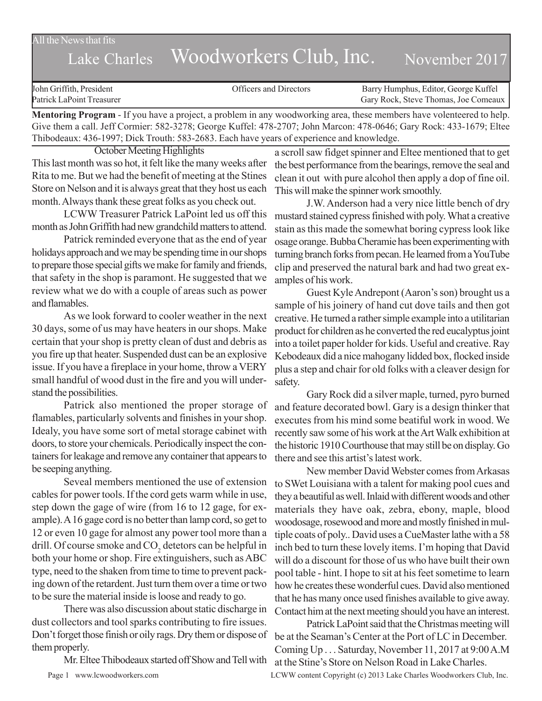All the News that fits

## Lake Charles Woodworkers Club, Inc. November 2017

| John Griffith, President  | Officers and Directors | Barry Humphus, Editor, George Kuffel |
|---------------------------|------------------------|--------------------------------------|
| Patrick LaPoint Treasurer |                        | Gary Rock, Steve Thomas, Joe Comeaux |
|                           |                        |                                      |

**Mentoring Program** - If you have a project, a problem in any woodworking area, these members have volenteered to help. Give them a call. Jeff Cormier: 582-3278; George Kuffel: 478-2707; John Marcon: 478-0646; Gary Rock: 433-1679; Eltee Thibodeaux: 436-1997; Dick Trouth: 583-2683. Each have years of experience and knowledge.

October Meeting Highlights

This last month was so hot, it felt like the many weeks after Rita to me. But we had the benefit of meeting at the Stines Store on Nelson and it is always great that they host us each month. Always thank these great folks as you check out.

LCWW Treasurer Patrick LaPoint led us off this month as John Griffith had new grandchild matters to attend.

Patrick reminded everyone that as the end of year holidays approach and we may be spending time in our shops to prepare those special gifts we make for family and friends, that safety in the shop is paramont. He suggested that we review what we do with a couple of areas such as power and flamables.

As we look forward to cooler weather in the next 30 days, some of us may have heaters in our shops. Make certain that your shop is pretty clean of dust and debris as you fire up that heater. Suspended dust can be an explosive issue. If you have a fireplace in your home, throw a VERY small handful of wood dust in the fire and you will understand the possibilities.

Patrick also mentioned the proper storage of flamables, particularly solvents and finishes in your shop. Idealy, you have some sort of metal storage cabinet with doors, to store your chemicals. Periodically inspect the containers for leakage and remove any container that appears to be seeping anything.

Seveal members mentioned the use of extension cables for power tools. If the cord gets warm while in use, step down the gage of wire (from 16 to 12 gage, for example). A 16 gage cord is no better than lamp cord, so get to 12 or even 10 gage for almost any power tool more than a drill. Of course smoke and  $CO<sub>2</sub>$  detetors can be helpful in both your home or shop. Fire extinguishers, such as ABC type, need to the shaken from time to time to prevent packing down of the retardent. Just turn them over a time or two to be sure the material inside is loose and ready to go.

There was also discussion about static discharge in dust collectors and tool sparks contributing to fire issues. Don't forget those finish or oily rags. Dry them or dispose of them properly.

Mr. Eltee Thibodeaux started off Show and Tell with

a scroll saw fidget spinner and Eltee mentioned that to get the best performance from the bearings, remove the seal and clean it out with pure alcohol then apply a dop of fine oil. This will make the spinner work smoothly.

J.W. Anderson had a very nice little bench of dry mustard stained cypress finished with poly. What a creative stain as this made the somewhat boring cypress look like osage orange. Bubba Cheramie has been experimenting with turning branch forks from pecan. He learned from a YouTube clip and preserved the natural bark and had two great examples of his work.

Guest Kyle Andrepont (Aaron's son) brought us a sample of his joinery of hand cut dove tails and then got creative. He turned a rather simple example into a utilitarian product for children as he converted the red eucalyptus joint into a toilet paper holder for kids. Useful and creative. Ray Kebodeaux did a nice mahogany lidded box, flocked inside plus a step and chair for old folks with a cleaver design for safety.

Gary Rock did a silver maple, turned, pyro burned and feature decorated bowl. Gary is a design thinker that executes from his mind some beatiful work in wood. We recently saw some of his work at the Art Walk exhibition at the historic 1910 Courthouse that may still be on display. Go there and see this artist's latest work.

New member David Webster comes from Arkasas to SWet Louisiana with a talent for making pool cues and they a beautiful as well. Inlaid with different woods and other materials they have oak, zebra, ebony, maple, blood woodosage, rosewood and more and mostly finished in multiple coats of poly.. David uses a CueMaster lathe with a 58 inch bed to turn these lovely items. I'm hoping that David will do a discount for those of us who have built their own pool table - hint. I hope to sit at his feet sometime to learn how he creates these wonderful cues. David also mentioned that he has many once used finishes available to give away. Contact him at the next meeting should you have an interest.

Patrick LaPoint said that the Christmas meeting will be at the Seaman's Center at the Port of LC in December. Coming Up . . . Saturday, November 11, 2017 at 9:00 A.M at the Stine's Store on Nelson Road in Lake Charles.

Page 1 www.lcwoodworkers.com LCWW content Copyright (c) 2013 Lake Charles Woodworkers Club, Inc.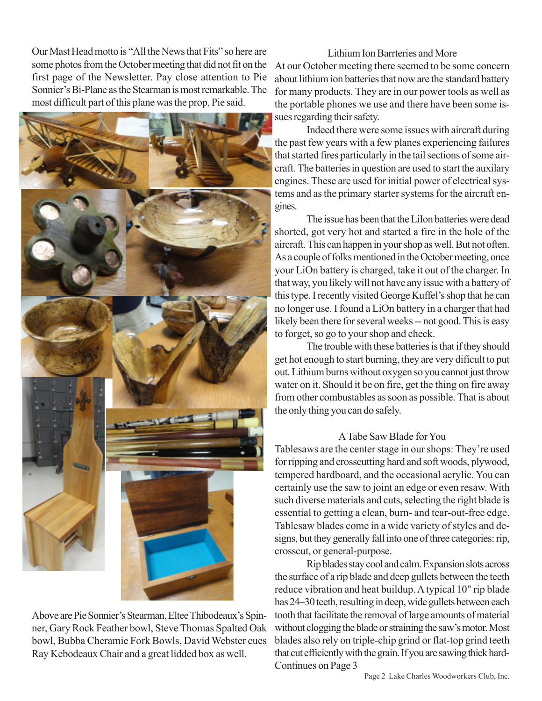Our Mast Head motto is "All the News that Fits" so here are some photos from the October meeting that did not fit on the first page of the Newsletter. Pay close attention to Pie Sonnier's Bi-Plane as the Stearman is most remarkable. The most difficult part of this plane was the prop, Pie said.



Above are Pie Sonnier's Stearman, Eltee Thibodeaux's Spinner, Gary Rock Feather bowl, Steve Thomas Spalted Oak bowl, Bubba Cheramie Fork Bowls, David Webster cues Ray Kebodeaux Chair and a great lidded box as well.

Lithium Ion Barrteries and More At our October meeting there seemed to be some concern about lithium ion batteries that now are the standard battery for many products. They are in our power tools as well as the portable phones we use and there have been some issues regarding their safety.

Indeed there were some issues with aircraft during the past few years with a few planes experiencing failures that started fires particularly in the tail sections of some aircraft. The batteries in question are used to start the auxilary engines. These are used for initial power of electrical systems and as the primary starter systems for the aircraft engines.

The issue has been that the LiIon batteries were dead shorted, got very hot and started a fire in the hole of the aircraft. This can happen in your shop as well. But not often. As a couple of folks mentioned in the October meeting, once your LiOn battery is charged, take it out of the charger. In that way, you likely will not have any issue with a battery of this type. I recently visited George Kuffel's shop that he can no longer use. I found a LiOn battery in a charger that had likely been there for several weeks -- not good. This is easy to forget, so go to your shop and check.

The trouble with these batteries is that if they should get hot enough to start burning, they are very dificult to put out. Lithium burns without oxygen so you cannot just throw water on it. Should it be on fire, get the thing on fire away from other combustables as soon as possible. That is about the only thing you can do safely.

## A Tabe Saw Blade for You

Tablesaws are the center stage in our shops: They're used for ripping and crosscutting hard and soft woods, plywood, tempered hardboard, and the occasional acrylic. You can certainly use the saw to joint an edge or even resaw. With such diverse materials and cuts, selecting the right blade is essential to getting a clean, burn- and tear-out-free edge. Tablesaw blades come in a wide variety of styles and designs, but they generally fall into one of three categories: rip, crosscut, or general-purpose.

Rip blades stay cool and calm. Expansion slots across the surface of a rip blade and deep gullets between the teeth reduce vibration and heat buildup. A typical 10" rip blade has 24–30 teeth, resulting in deep, wide gullets between each tooth that facilitate the removal of large amounts of material without clogging the blade or straining the saw's motor. Most blades also rely on triple-chip grind or flat-top grind teeth that cut efficiently with the grain. If you are sawing thick hard-Continues on Page 3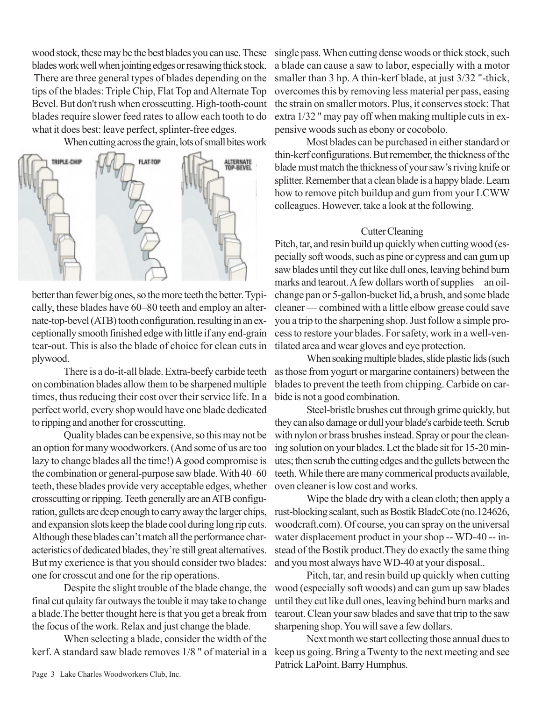wood stock, these may be the best blades you can use. These blades work well when jointing edges or resawing thick stock. There are three general types of blades depending on the tips of the blades: Triple Chip, Flat Top and Alternate Top Bevel. But don't rush when crosscutting. High-tooth-count blades require slower feed rates to allow each tooth to do what it does best: leave perfect, splinter-free edges.

When cutting across the grain, lots of small bites work



better than fewer big ones, so the more teeth the better. Typically, these blades have 60–80 teeth and employ an alternate-top-bevel (ATB) tooth configuration, resulting in an exceptionally smooth finished edge with little if any end-grain tear-out. This is also the blade of choice for clean cuts in plywood.

There is a do-it-all blade. Extra-beefy carbide teeth on combination blades allow them to be sharpened multiple times, thus reducing their cost over their service life. In a perfect world, every shop would have one blade dedicated to ripping and another for crosscutting.

Quality blades can be expensive, so this may not be an option for many woodworkers. (And some of us are too lazy to change blades all the time!) A good compromise is the combination or general-purpose saw blade. With 40–60 teeth, these blades provide very acceptable edges, whether crosscutting or ripping. Teeth generally are an ATB configuration, gullets are deep enough to carry away the larger chips, and expansion slots keep the blade cool during long rip cuts. Although these blades can't match all the performance characteristics of dedicated blades, they're still great alternatives. But my exerience is that you should consider two blades: one for crosscut and one for the rip operations.

Despite the slight trouble of the blade change, the final cut qulaity far outways the touble it may take to change a blade.The better thought here is that you get a break from the focus of the work. Relax and just change the blade.

When selecting a blade, consider the width of the kerf. A standard saw blade removes 1/8 " of material in a

single pass. When cutting dense woods or thick stock, such a blade can cause a saw to labor, especially with a motor smaller than 3 hp. A thin-kerf blade, at just 3/32 "-thick, overcomes this by removing less material per pass, easing the strain on smaller motors. Plus, it conserves stock: That extra 1/32 " may pay off when making multiple cuts in expensive woods such as ebony or cocobolo.

Most blades can be purchased in either standard or thin-kerf configurations. But remember, the thickness of the blade must match the thickness of your saw's riving knife or splitter. Remember that a clean blade is a happy blade. Learn how to remove pitch buildup and gum from your LCWW colleagues. However, take a look at the following.

## Cutter Cleaning

Pitch, tar, and resin build up quickly when cutting wood (especially soft woods, such as pine or cypress and can gum up saw blades until they cut like dull ones, leaving behind burn marks and tearout. A few dollars worth of supplies—an oilchange pan or 5-gallon-bucket lid, a brush, and some blade cleaner — combined with a little elbow grease could save you a trip to the sharpening shop. Just follow a simple process to restore your blades. For safety, work in a well-ventilated area and wear gloves and eye protection.

When soaking multiple blades, slide plastic lids (such as those from yogurt or margarine containers) between the blades to prevent the teeth from chipping. Carbide on carbide is not a good combination.

Steel-bristle brushes cut through grime quickly, but they can also damage or dull your blade's carbide teeth. Scrub with nylon or brass brushes instead. Spray or pour the cleaning solution on your blades. Let the blade sit for 15-20 minutes; then scrub the cutting edges and the gullets between the teeth. While there are many commerical products available, oven cleaner is low cost and works.

Wipe the blade dry with a clean cloth; then apply a rust-blocking sealant, such as Bostik BladeCote (no.124626, woodcraft.com). Of course, you can spray on the universal water displacement product in your shop -- WD-40 -- instead of the Bostik product.They do exactly the same thing and you most always have WD-40 at your disposal..

Pitch, tar, and resin build up quickly when cutting wood (especially soft woods) and can gum up saw blades until they cut like dull ones, leaving behind burn marks and tearout. Clean your saw blades and save that trip to the saw sharpening shop. You will save a few dollars.

Next month we start collecting those annual dues to keep us going. Bring a Twenty to the next meeting and see Patrick LaPoint. Barry Humphus.